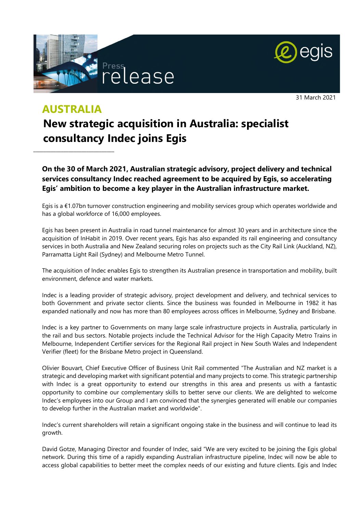



31 March 2021

# **AUSTRALIA**

\_\_\_\_\_\_\_\_\_\_\_\_\_\_\_\_\_\_\_\_\_\_\_\_\_\_\_\_\_\_\_\_

# **New strategic acquisition in Australia: specialist consultancy Indec joins Egis**

**On the 30 of March 2021, Australian strategic advisory, project delivery and technical services consultancy Indec reached agreement to be acquired by Egis, so accelerating Egis' ambition to become a key player in the Australian infrastructure market.** 

Egis is a €1.07bn turnover construction engineering and mobility services group which operates worldwide and has a global workforce of 16,000 employees.

Egis has been present in Australia in road tunnel maintenance for almost 30 years and in architecture since the acquisition of InHabit in 2019. Over recent years, Egis has also expanded its rail engineering and consultancy services in both Australia and New Zealand securing roles on projects such as the City Rail Link (Auckland, NZ), Parramatta Light Rail (Sydney) and Melbourne Metro Tunnel.

The acquisition of Indec enables Egis to strengthen its Australian presence in transportation and mobility, built environment, defence and water markets.

Indec is a leading provider of strategic advisory, project development and delivery, and technical services to both Government and private sector clients. Since the business was founded in Melbourne in 1982 it has expanded nationally and now has more than 80 employees across offices in Melbourne, Sydney and Brisbane.

Indec is a key partner to Governments on many large scale infrastructure projects in Australia, particularly in the rail and bus sectors. Notable projects include the Technical Advisor for the High Capacity Metro Trains in Melbourne, Independent Certifier services for the Regional Rail project in New South Wales and Independent Verifier (fleet) for the Brisbane Metro project in Queensland.

Olivier Bouvart, Chief Executive Officer of Business Unit Rail commented "The Australian and NZ market is a strategic and developing market with significant potential and many projects to come. This strategic partnership with Indec is a great opportunity to extend our strengths in this area and presents us with a fantastic opportunity to combine our complementary skills to better serve our clients. We are delighted to welcome Indec's employees into our Group and I am convinced that the synergies generated will enable our companies to develop further in the Australian market and worldwide".

Indec's current shareholders will retain a significant ongoing stake in the business and will continue to lead its growth.

David Gotze, Managing Director and founder of Indec, said "We are very excited to be joining the Egis global network. During this time of a rapidly expanding Australian infrastructure pipeline, Indec will now be able to access global capabilities to better meet the complex needs of our existing and future clients. Egis and Indec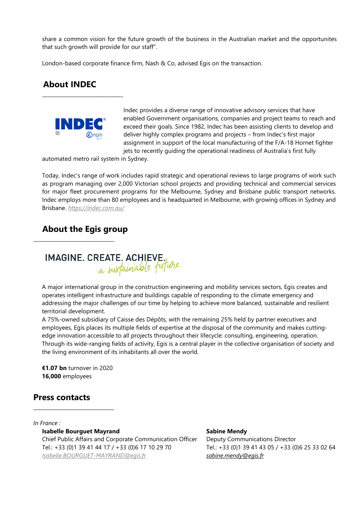share a common vision for the future growth of the business in the Australian market and the opportunites that such growth will provide for our staff".

London-based corporate finance firm, Nash & Co, advised Egis on the transaction.

## **About INDEC**



\_\_\_\_\_\_\_\_\_\_\_\_\_\_\_\_\_\_\_\_\_\_\_\_\_\_\_\_\_\_\_\_

Indec provides a diverse range of innovative advisory services that have enabled Government organisations, companies and project teams to reach and exceed their goals. Since 1982, Indec has been assisting clients to develop and deliver highly complex programs and projects – from Indec's first major assignment in support of the local manufacturing of the F/A-18 Hornet fighter jets to recently quiding the operational readiness of Australia's first fully

automated metro rail system in Sydney.

Today, Indec's range of work includes rapid strategic and operational reviews to large programs of work such as program managing over 2,000 Victorian school projects and providing technical and commercial services for major fleet procurement programs for the Melbourne, Sydney and Brisbane public transport networks. Indec employs more than 80 employees and is headquarted in Melbourne, with growing offices in Sydney and Brisbane. *<https://indec.com.au/>*

### **About the Egis group**

\_\_\_\_\_\_\_\_\_\_\_\_\_\_\_\_\_\_\_\_\_\_\_\_\_\_\_\_\_\_\_\_



A major international group in the construction engineering and mobility services sectors, Egis creates and operates intelligent infrastructure and buildings capable of responding to the climate emergency and addressing the major challenges of our time by helping to achieve more balanced, sustainable and resilient territorial development.

A 75%-owned subsidiary of Caisse des Dépôts, with the remaining 25% held by partner executives and employees, Egis places its multiple fields of expertise at the disposal of the community and makes cuttingedge innovation accessible to all projects throughout their lifecycle: consulting, engineering, operation. Through its wide-ranging fields of activity, Egis is a central player in the collective organisation of society and the living environment of its inhabitants all over the world.

**€1.07 bn** turnover in 2020 **16,000** employees

\_\_\_\_\_\_\_\_\_\_\_\_\_\_\_\_\_\_\_\_\_\_\_\_\_\_\_\_\_\_\_\_

#### **Press contacts**

*In France :* 

**Isabelle Bourguet Mayrand** 

Chief Public Affairs and Corporate Communication Officer Tel.: +33 (0)1 39 41 44 17 / +33 (0)6 17 10 29 70 *[Isabelle.BOURGUET-MAYRAND@egis.fr](mailto:Isabelle.BOURGUET-MAYRAND@egis.fr)*

#### **Sabine Mendy**

Deputy Communications Director Tel.: +33 (0)1 39 41 43 05 / +33 (0)6 25 33 02 64 *[sabine.mendy@egis.fr](mailto:sabine.mendy@egis.fr)*